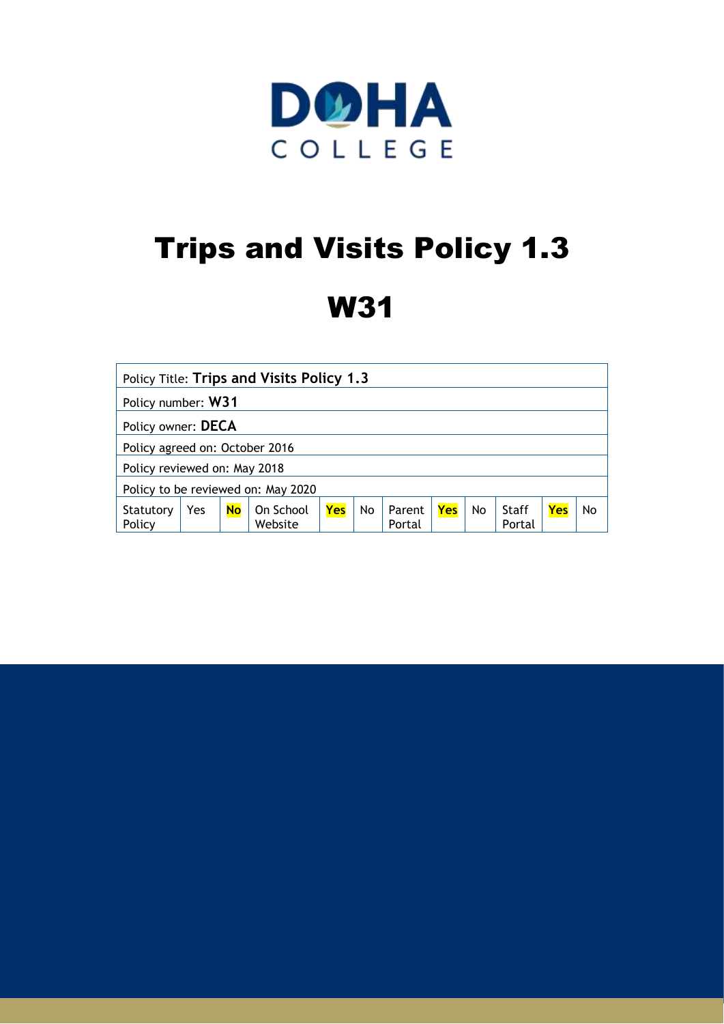

# Trips and Visits Policy 1.3

# W31

| Policy Title: Trips and Visits Policy 1.3 |     |           |                      |     |    |                  |     |           |                 |     |    |
|-------------------------------------------|-----|-----------|----------------------|-----|----|------------------|-----|-----------|-----------------|-----|----|
| Policy number: W31                        |     |           |                      |     |    |                  |     |           |                 |     |    |
| Policy owner: DECA                        |     |           |                      |     |    |                  |     |           |                 |     |    |
| Policy agreed on: October 2016            |     |           |                      |     |    |                  |     |           |                 |     |    |
| Policy reviewed on: May 2018              |     |           |                      |     |    |                  |     |           |                 |     |    |
| Policy to be reviewed on: May 2020        |     |           |                      |     |    |                  |     |           |                 |     |    |
| Statutory<br>Policy                       | Yes | <b>No</b> | On School<br>Website | Yes | No | Parent<br>Portal | Yes | <b>No</b> | Staff<br>Portal | Yes | No |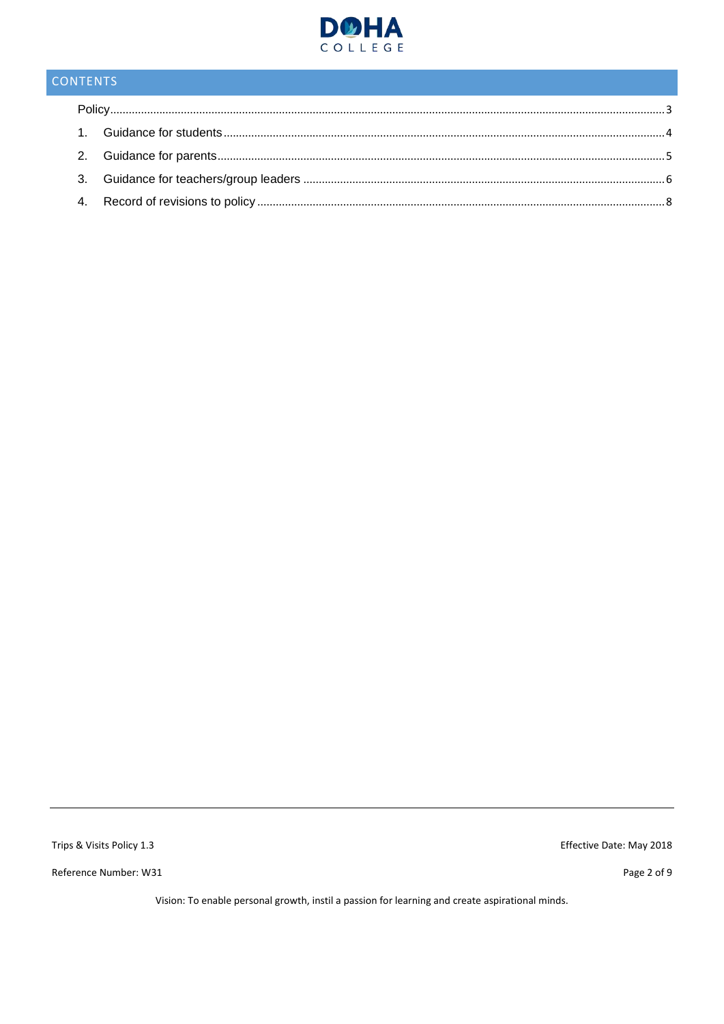

## CONTENTS

Trips & Visits Policy 1.3

Reference Number: W31

Effective Date: May 2018

Page 2 of 9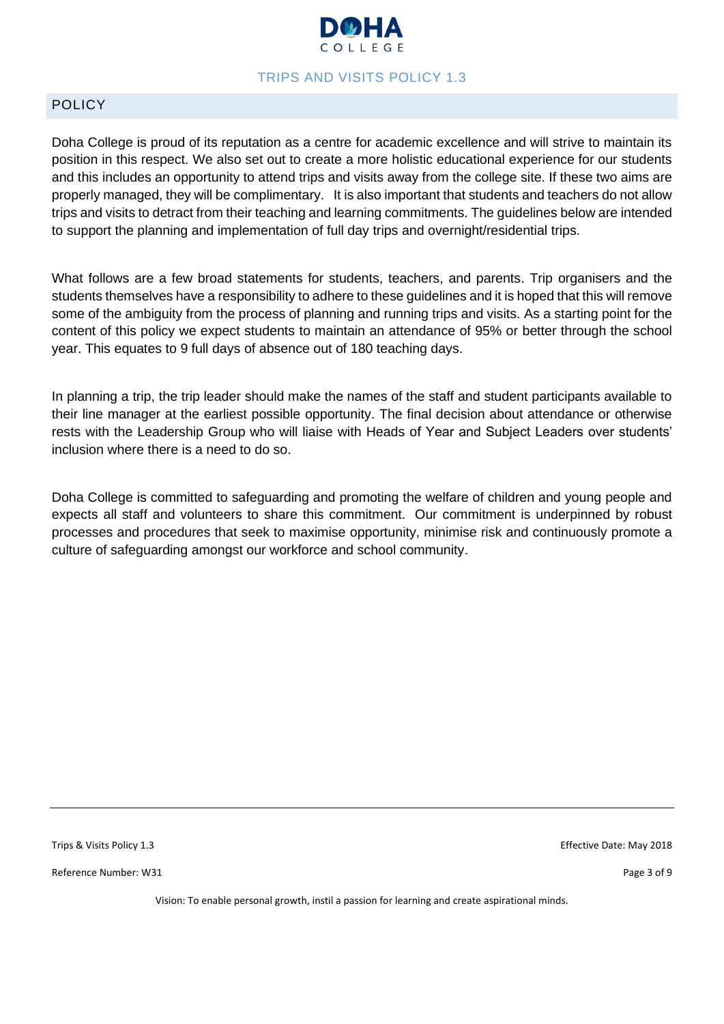

#### TRIPS AND VISITS POLICY 1.3

#### <span id="page-2-0"></span>POLICY

Doha College is proud of its reputation as a centre for academic excellence and will strive to maintain its position in this respect. We also set out to create a more holistic educational experience for our students and this includes an opportunity to attend trips and visits away from the college site. If these two aims are properly managed, they will be complimentary. It is also important that students and teachers do not allow trips and visits to detract from their teaching and learning commitments. The guidelines below are intended to support the planning and implementation of full day trips and overnight/residential trips.

What follows are a few broad statements for students, teachers, and parents. Trip organisers and the students themselves have a responsibility to adhere to these guidelines and it is hoped that this will remove some of the ambiguity from the process of planning and running trips and visits. As a starting point for the content of this policy we expect students to maintain an attendance of 95% or better through the school year. This equates to 9 full days of absence out of 180 teaching days.

In planning a trip, the trip leader should make the names of the staff and student participants available to their line manager at the earliest possible opportunity. The final decision about attendance or otherwise rests with the Leadership Group who will liaise with Heads of Year and Subject Leaders over students' inclusion where there is a need to do so.

Doha College is committed to safeguarding and promoting the welfare of children and young people and expects all staff and volunteers to share this commitment. Our commitment is underpinned by robust processes and procedures that seek to maximise opportunity, minimise risk and continuously promote a culture of safeguarding amongst our workforce and school community.

Reference Number: W31 Page 3 of 9

Trips & Visits Policy 1.3 Effective Date: May 2018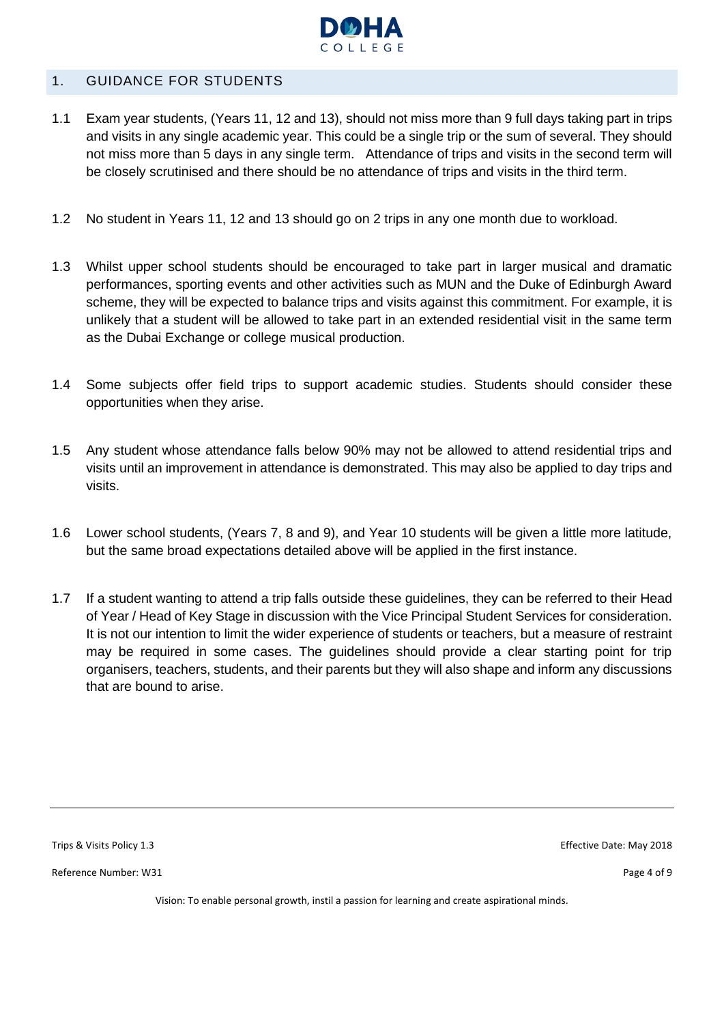

#### <span id="page-3-0"></span>1. GUIDANCE FOR STUDENTS

- 1.1 Exam year students, (Years 11, 12 and 13), should not miss more than 9 full days taking part in trips and visits in any single academic year. This could be a single trip or the sum of several. They should not miss more than 5 days in any single term. Attendance of trips and visits in the second term will be closely scrutinised and there should be no attendance of trips and visits in the third term.
- 1.2 No student in Years 11, 12 and 13 should go on 2 trips in any one month due to workload.
- 1.3 Whilst upper school students should be encouraged to take part in larger musical and dramatic performances, sporting events and other activities such as MUN and the Duke of Edinburgh Award scheme, they will be expected to balance trips and visits against this commitment. For example, it is unlikely that a student will be allowed to take part in an extended residential visit in the same term as the Dubai Exchange or college musical production.
- 1.4 Some subjects offer field trips to support academic studies. Students should consider these opportunities when they arise.
- 1.5 Any student whose attendance falls below 90% may not be allowed to attend residential trips and visits until an improvement in attendance is demonstrated. This may also be applied to day trips and visits.
- 1.6 Lower school students, (Years 7, 8 and 9), and Year 10 students will be given a little more latitude, but the same broad expectations detailed above will be applied in the first instance.
- 1.7 If a student wanting to attend a trip falls outside these guidelines, they can be referred to their Head of Year / Head of Key Stage in discussion with the Vice Principal Student Services for consideration. It is not our intention to limit the wider experience of students or teachers, but a measure of restraint may be required in some cases. The guidelines should provide a clear starting point for trip organisers, teachers, students, and their parents but they will also shape and inform any discussions that are bound to arise.

Reference Number: W31 Page 4 of 9

Trips & Visits Policy 1.3 Effective Date: May 2018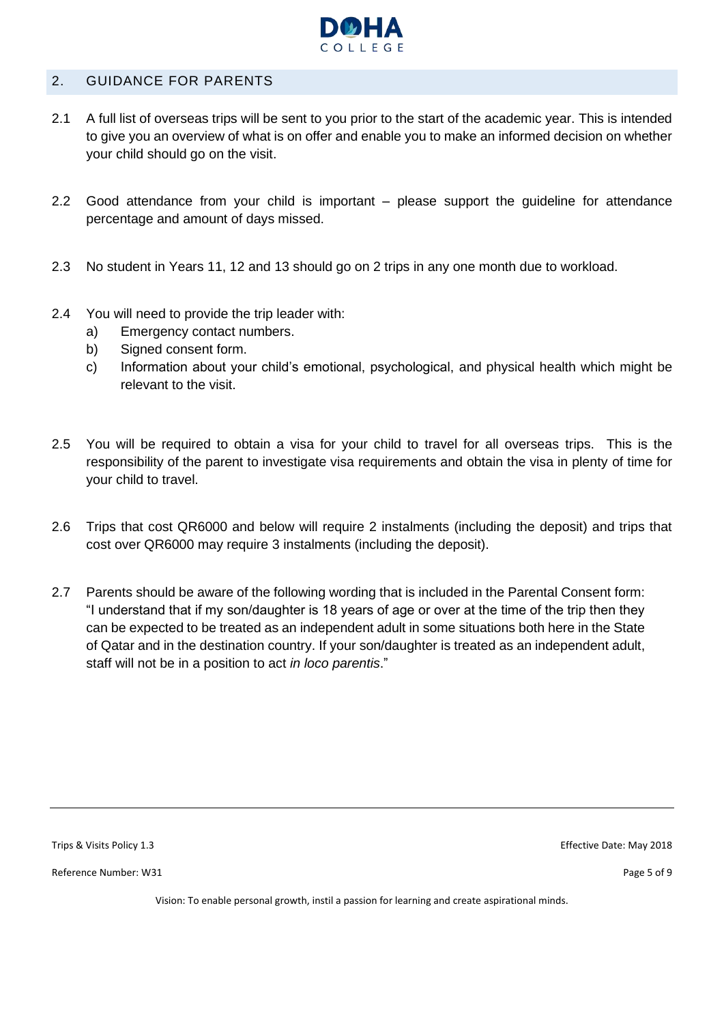

#### <span id="page-4-0"></span>2. GUIDANCE FOR PARENTS

- 2.1 A full list of overseas trips will be sent to you prior to the start of the academic year. This is intended to give you an overview of what is on offer and enable you to make an informed decision on whether your child should go on the visit.
- 2.2 Good attendance from your child is important please support the guideline for attendance percentage and amount of days missed.
- 2.3 No student in Years 11, 12 and 13 should go on 2 trips in any one month due to workload.
- 2.4 You will need to provide the trip leader with:
	- a) Emergency contact numbers.
	- b) Signed consent form.
	- c) Information about your child's emotional, psychological, and physical health which might be relevant to the visit.
- 2.5 You will be required to obtain a visa for your child to travel for all overseas trips. This is the responsibility of the parent to investigate visa requirements and obtain the visa in plenty of time for your child to travel.
- 2.6 Trips that cost QR6000 and below will require 2 instalments (including the deposit) and trips that cost over QR6000 may require 3 instalments (including the deposit).
- 2.7 Parents should be aware of the following wording that is included in the Parental Consent form: "I understand that if my son/daughter is 18 years of age or over at the time of the trip then they can be expected to be treated as an independent adult in some situations both here in the State of Qatar and in the destination country. If your son/daughter is treated as an independent adult, staff will not be in a position to act *in loco parentis*."

Reference Number: W31 Page 5 of 9

Trips & Visits Policy 1.3 Effective Date: May 2018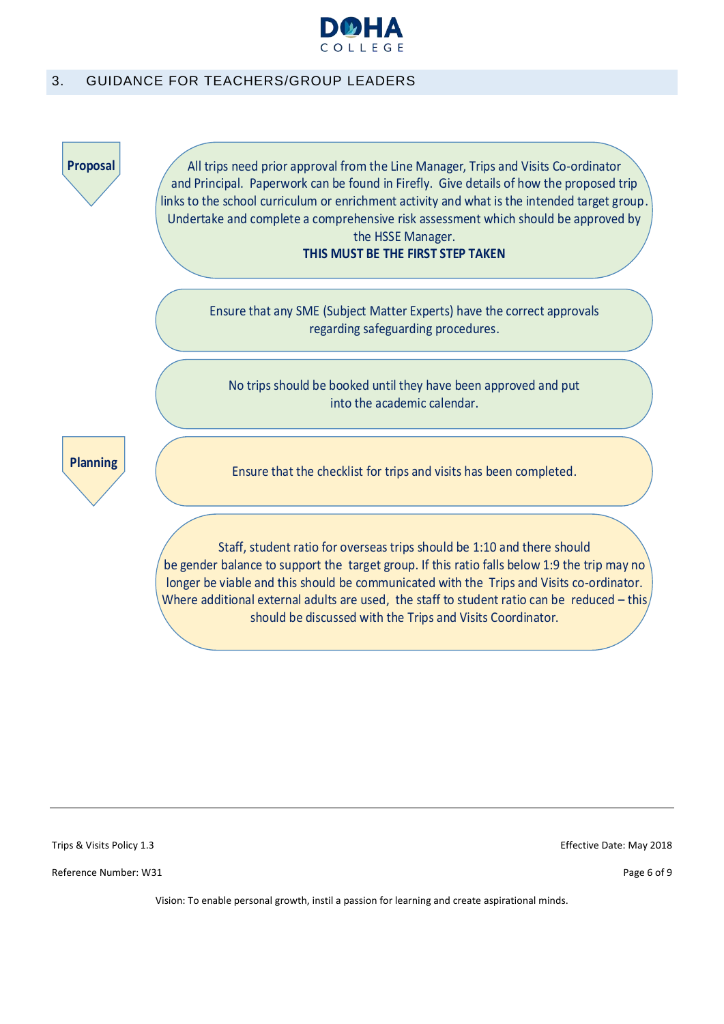

#### <span id="page-5-0"></span>3. GUIDANCE FOR TEACHERS/GROUP LEADERS



Trips & Visits Policy 1.3 Effective Date: May 2018

Reference Number: W31 Page 6 of 9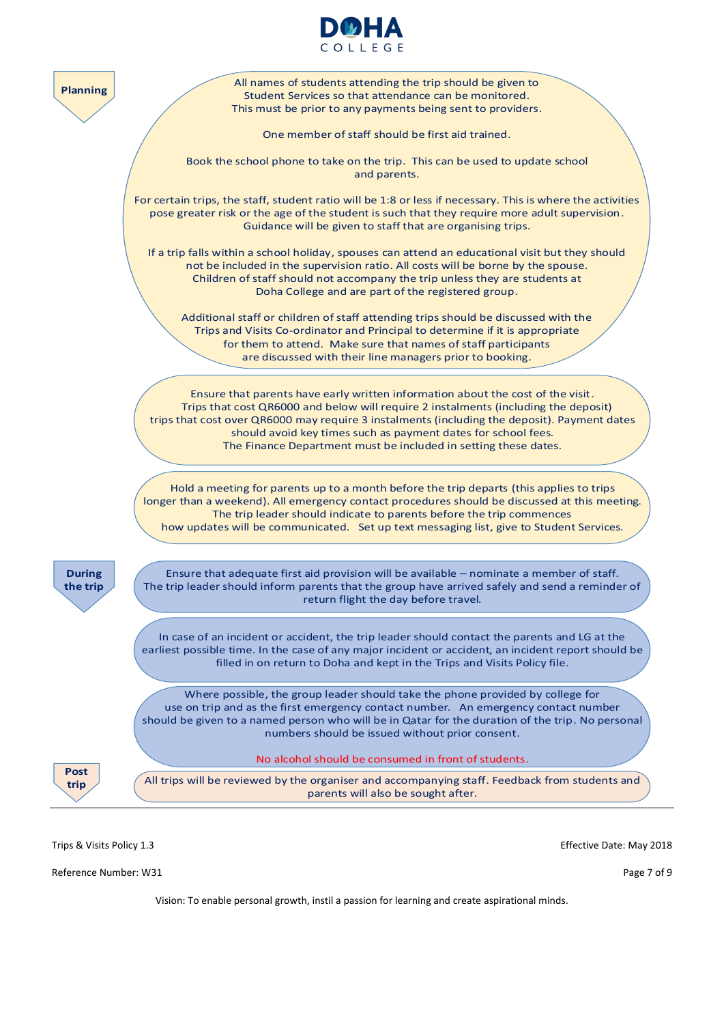



Trips & Visits Policy 1.3 Effective Date: May 2018

Reference Number: W31 Page 7 of 9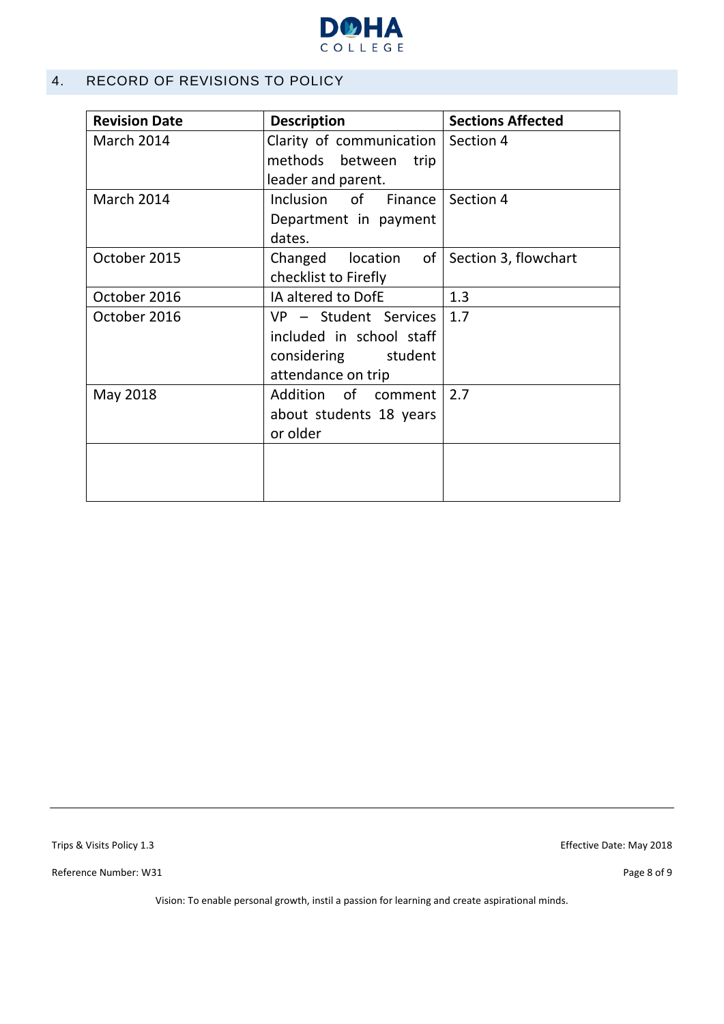

#### <span id="page-7-0"></span>4. RECORD OF REVISIONS TO POLICY

| <b>Revision Date</b> | <b>Description</b>                                                                                     | <b>Sections Affected</b> |
|----------------------|--------------------------------------------------------------------------------------------------------|--------------------------|
| <b>March 2014</b>    | Clarity of communication   Section 4<br>methods between<br>trip                                        |                          |
|                      | leader and parent.                                                                                     |                          |
| <b>March 2014</b>    | Inclusion of Finance Section 4<br>Department in payment<br>dates.                                      |                          |
| October 2015         | of <sub>l</sub><br>Changed location<br>checklist to Firefly                                            | Section 3, flowchart     |
| October 2016         | IA altered to DofE                                                                                     | 1.3                      |
| October 2016         | $VP - Student$ Services   1.7<br>included in school staff<br>considering student<br>attendance on trip |                          |
| May 2018             | Addition of comment 2.7<br>about students 18 years<br>or older                                         |                          |
|                      |                                                                                                        |                          |

Trips & Visits Policy 1.3 Effective Date: May 2018

Reference Number: W31 Page 8 of 9